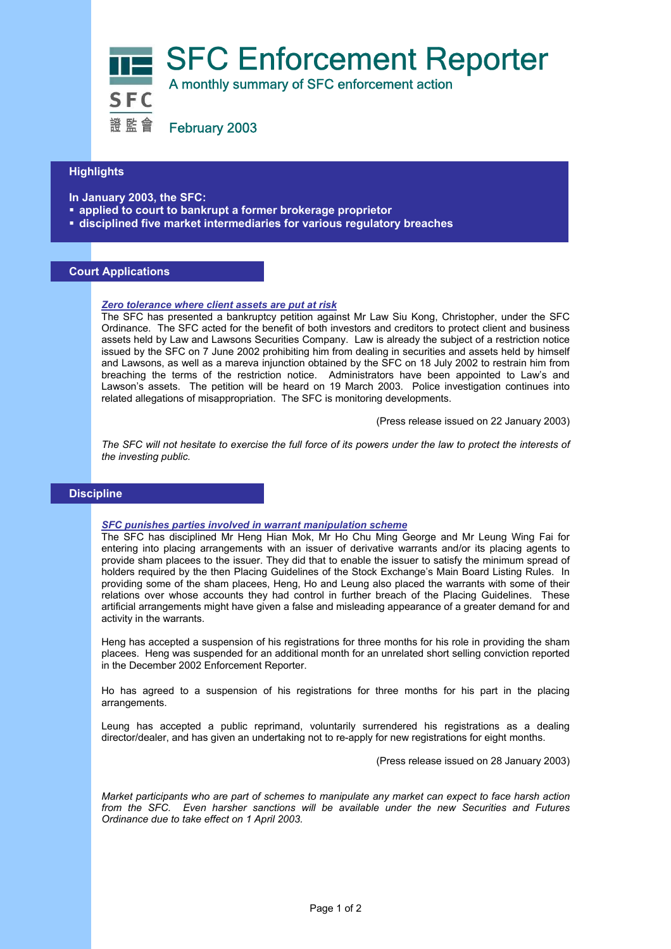

證監會 February 2003

## **Highlights Highlights Highlights**

**In January 2003, the SFC:** 

- **applied to court to bankrupt a former brokerage proprietor**
- **disciplined five market intermediaries for various regulatory breaches**

# **Court Applications**

## *Zero tolerance where client assets are put at risk*

The SFC has presented a bankruptcy petition against Mr Law Siu Kong, Christopher, under the SFC Ordinance. The SFC acted for the benefit of both investors and creditors to protect client and business assets held by Law and Lawsons Securities Company. Law is already the subject of a restriction notice issued by the SFC on 7 June 2002 prohibiting him from dealing in securities and assets held by himself and Lawsons, as well as a mareva injunction obtained by the SFC on 18 July 2002 to restrain him from breaching the terms of the restriction notice. Administrators have been appointed to Law's and Lawson's assets. The petition will be heard on 19 March 2003. Police investigation continues into related allegations of misappropriation. The SFC is monitoring developments.

(Press release issued on 22 January 2003)

*The SFC will not hesitate to exercise the full force of its powers under the law to protect the interests of the investing public.* 

## **Discipline**

#### *SFC punishes parties involved in warrant manipulation scheme*

The SFC has disciplined Mr Heng Hian Mok, Mr Ho Chu Ming George and Mr Leung Wing Fai for entering into placing arrangements with an issuer of derivative warrants and/or its placing agents to provide sham placees to the issuer. They did that to enable the issuer to satisfy the minimum spread of holders required by the then Placing Guidelines of the Stock Exchange's Main Board Listing Rules. In providing some of the sham placees, Heng, Ho and Leung also placed the warrants with some of their relations over whose accounts they had control in further breach of the Placing Guidelines. These artificial arrangements might have given a false and misleading appearance of a greater demand for and activity in the warrants.

Heng has accepted a suspension of his registrations for three months for his role in providing the sham placees. Heng was suspended for an additional month for an unrelated short selling conviction reported in the December 2002 Enforcement Reporter.

Ho has agreed to a suspension of his registrations for three months for his part in the placing arrangements.

Leung has accepted a public reprimand, voluntarily surrendered his registrations as a dealing director/dealer, and has given an undertaking not to re-apply for new registrations for eight months.

(Press release issued on 28 January 2003)

*Market participants who are part of schemes to manipulate any market can expect to face harsh action from the SFC. Even harsher sanctions will be available under the new Securities and Futures Ordinance due to take effect on 1 April 2003.*